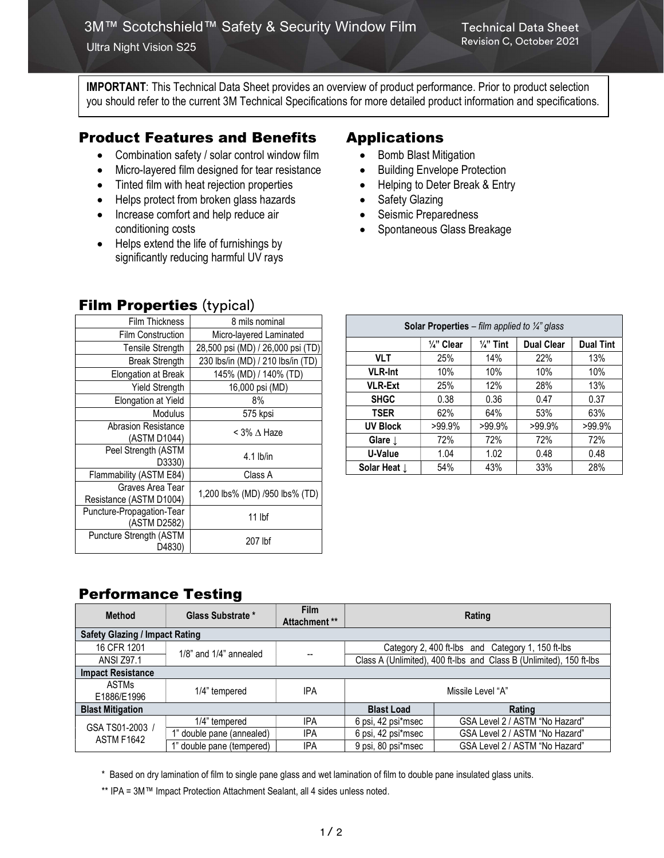Ultra Night Vision S25

IMPORTANT: This Technical Data Sheet provides an overview of product performance. Prior to product selection you should refer to the current 3M Technical Specifications for more detailed product information and specifications.

## Product Features and Benefits

- Combination safety / solar control window film
- Micro-layered film designed for tear resistance
- Tinted film with heat rejection properties
- Helps protect from broken glass hazards
- Increase comfort and help reduce air conditioning costs
- Helps extend the life of furnishings by significantly reducing harmful UV rays

**Film Properties (typical)** 

## Applications

- Bomb Blast Mitigation
- Building Envelope Protection
- Helping to Deter Break & Entry
- Safety Glazing
- Seismic Preparedness
- Spontaneous Glass Breakage

| <b>Film Thickness</b>      | 8 mils nominal                    |  |
|----------------------------|-----------------------------------|--|
| <b>Film Construction</b>   | Micro-layered Laminated           |  |
| <b>Tensile Strength</b>    | 28,500 psi (MD) / 26,000 psi (TD) |  |
| <b>Break Strength</b>      | 230 lbs/in (MD) / 210 lbs/in (TD) |  |
| Elongation at Break        | 145% (MD) / 140% (TD)             |  |
| <b>Yield Strength</b>      | 16,000 psi (MD)                   |  |
| Elongation at Yield        | 8%                                |  |
| <b>Modulus</b>             | 575 kpsi                          |  |
| <b>Abrasion Resistance</b> | < 3% ∆ Haze                       |  |
| (ASTM D1044)               |                                   |  |
| Peel Strength (ASTM        | $4.1$ lb/in                       |  |
| D3330)                     |                                   |  |
| Flammability (ASTM E84)    | Class A                           |  |
| Graves Area Tear           | 1,200 lbs% (MD) /950 lbs% (TD)    |  |
| Resistance (ASTM D1004)    |                                   |  |
| Puncture-Propagation-Tear  | $11$ lbf                          |  |
| (ASTM D2582)               |                                   |  |
| Puncture Strength (ASTM    | 207 lbf                           |  |
| D4830)                     |                                   |  |

| <b>Solar Properties</b> – film applied to $\frac{1}{4}$ glass |                       |                      |                   |                  |  |  |  |
|---------------------------------------------------------------|-----------------------|----------------------|-------------------|------------------|--|--|--|
|                                                               | $\frac{1}{4}$ " Clear | $\frac{1}{4}$ " Tint | <b>Dual Clear</b> | <b>Dual Tint</b> |  |  |  |
| <b>VLT</b>                                                    | 25%                   | 14%                  | 22%               | 13%              |  |  |  |
| <b>VLR-Int</b>                                                | 10%                   | 10%                  | 10%               | 10%              |  |  |  |
| <b>VLR-Ext</b>                                                | 25%                   | 12%                  | 28%               | 13%              |  |  |  |
| <b>SHGC</b>                                                   | 0.38                  | 0.36                 | 0.47              | 0.37             |  |  |  |
| <b>TSER</b>                                                   | 62%                   | 64%                  | 53%               | 63%              |  |  |  |
| <b>UV Block</b>                                               | >99.9%                | $>99.9\%$            | $>99.9\%$         | >99.9%           |  |  |  |
| Glare $\downarrow$                                            | 72%                   | 72%                  | 72%               | 72%              |  |  |  |
| U-Value                                                       | 1.04                  | 1.02                 | 0.48              | 0.48             |  |  |  |
| Solar Heat $\downarrow$                                       | 54%                   | 43%                  | 33%               | 28%              |  |  |  |

## Performance Testing

| <b>Method</b>                         | Glass Substrate *            | <b>Film</b><br>Attachment ** | Rating                                                              |                                |  |  |  |
|---------------------------------------|------------------------------|------------------------------|---------------------------------------------------------------------|--------------------------------|--|--|--|
| <b>Safety Glazing / Impact Rating</b> |                              |                              |                                                                     |                                |  |  |  |
| 16 CFR 1201                           | $1/8$ " and $1/4$ " annealed |                              | Category 2, 400 ft-lbs and Category 1, 150 ft-lbs                   |                                |  |  |  |
| <b>ANSI Z97.1</b>                     |                              | --                           | Class A (Unlimited), 400 ft-lbs and Class B (Unlimited), 150 ft-lbs |                                |  |  |  |
| <b>Impact Resistance</b>              |                              |                              |                                                                     |                                |  |  |  |
| <b>ASTMs</b><br>E1886/E1996           | 1/4" tempered                | IPA                          | Missile Level "A"                                                   |                                |  |  |  |
| <b>Blast Mitigation</b>               |                              |                              | <b>Blast Load</b>                                                   | Rating                         |  |  |  |
| GSA TS01-2003 /<br><b>ASTM F1642</b>  | 1/4" tempered                | <b>IPA</b>                   | 6 psi, 42 psi*msec                                                  | GSA Level 2 / ASTM "No Hazard" |  |  |  |
|                                       | 1" double pane (annealed)    | <b>IPA</b>                   | 6 psi, 42 psi*msec                                                  | GSA Level 2 / ASTM "No Hazard" |  |  |  |
|                                       | 1" double pane (tempered)    | <b>IPA</b>                   | 9 psi, 80 psi*msec                                                  | GSA Level 2 / ASTM "No Hazard" |  |  |  |

\* Based on dry lamination of film to single pane glass and wet lamination of film to double pane insulated glass units.

\*\* IPA = 3M™ Impact Protection Attachment Sealant, all 4 sides unless noted.